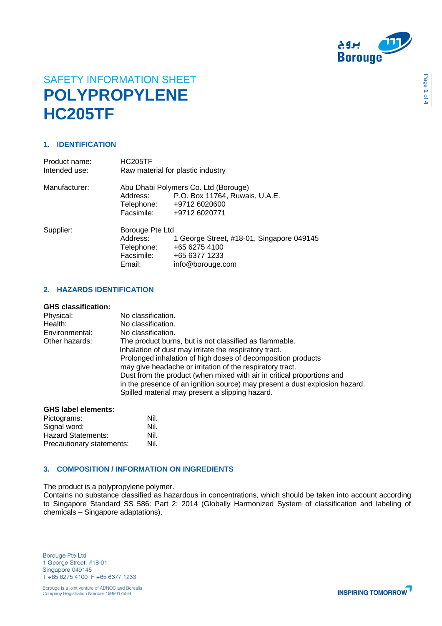

Page **1** of **4**

# SAFETY INFORMATION SHEET **POLYPROPYLENE HC205TF**

# **1. IDENTIFICATION**

| Product name:<br>Intended use: | <b>HC205TF</b>  | Raw material for plastic industry                                      |
|--------------------------------|-----------------|------------------------------------------------------------------------|
| Manufacturer:                  | Address:        | Abu Dhabi Polymers Co. Ltd (Borouge)<br>P.O. Box 11764, Ruwais, U.A.E. |
|                                | Telephone:      | +9712 6020600                                                          |
|                                | Facsimile:      | +9712 6020771                                                          |
| Supplier:                      | Borouge Pte Ltd |                                                                        |
|                                | Address:        | 1 George Street, #18-01, Singapore 049145                              |
|                                | Telephone:      | +65 6275 4100                                                          |
|                                | Facsimile:      | +65 6377 1233                                                          |
|                                | Email:          | info@borouge.com                                                       |

# **2. HAZARDS IDENTIFICATION**

# **GHS classification:**

| Physical:<br>Health: | No classification.<br>No classification.                                                                                       |
|----------------------|--------------------------------------------------------------------------------------------------------------------------------|
| Environmental:       | No classification.                                                                                                             |
| Other hazards:       | The product burns, but is not classified as flammable.                                                                         |
|                      | Inhalation of dust may irritate the respiratory tract.                                                                         |
|                      | Prolonged inhalation of high doses of decomposition products                                                                   |
|                      | may give headache or irritation of the respiratory tract.                                                                      |
|                      | Dust from the product (when mixed with air in critical proportions and                                                         |
|                      | in the presence of an ignition source) may present a dust explosion hazard.<br>Spilled material may present a slipping hazard. |

## **GHS label elements:**

| Pictograms:               | Nil. |
|---------------------------|------|
| Signal word:              | Nil. |
| Hazard Statements:        | Nil. |
| Precautionary statements: | Nil. |

## **3. COMPOSITION / INFORMATION ON INGREDIENTS**

The product is a polypropylene polymer.

Contains no substance classified as hazardous in concentrations, which should be taken into account according to Singapore Standard SS 586: Part 2: 2014 (Globally Harmonized System of classification and labeling of chemicals – Singapore adaptations).

**Borouge Pte Ltd** 1 George Street, #18-01 Singapore 049145 T +65 6275 4100 F +65 6377 1233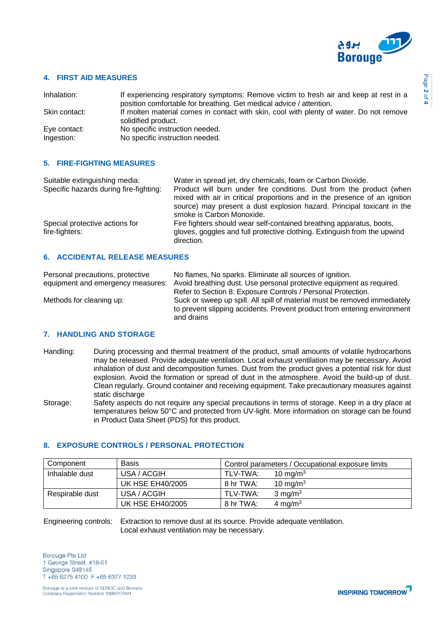

## **4. FIRST AID MEASURES**

| Inhalation:                | If experiencing respiratory symptoms: Remove victim to fresh air and keep at rest in a<br>position comfortable for breathing. Get medical advice / attention. |
|----------------------------|---------------------------------------------------------------------------------------------------------------------------------------------------------------|
| Skin contact:              | If molten material comes in contact with skin, cool with plenty of water. Do not remove<br>solidified product.                                                |
| Eye contact:<br>Ingestion: | No specific instruction needed.<br>No specific instruction needed.                                                                                            |

## **5. FIRE-FIGHTING MEASURES**

| Suitable extinguishing media:<br>Specific hazards during fire-fighting: | Water in spread jet, dry chemicals, foam or Carbon Dioxide.<br>Product will burn under fire conditions. Dust from the product (when<br>mixed with air in critical proportions and in the presence of an ignition |
|-------------------------------------------------------------------------|------------------------------------------------------------------------------------------------------------------------------------------------------------------------------------------------------------------|
|                                                                         | source) may present a dust explosion hazard. Principal toxicant in the<br>smoke is Carbon Monoxide.                                                                                                              |
| Special protective actions for<br>fire-fighters:                        | Fire fighters should wear self-contained breathing apparatus, boots,<br>gloves, goggles and full protective clothing. Extinguish from the upwind<br>direction.                                                   |
| $\epsilon$<br>ACCIDENTAL DELEASE MEASURES                               |                                                                                                                                                                                                                  |

# **6. ACCIDENTAL RELEASE MEASURES**

| Personal precautions, protective | No flames, No sparks. Eliminate all sources of ignition.                                                                                              |
|----------------------------------|-------------------------------------------------------------------------------------------------------------------------------------------------------|
|                                  | equipment and emergency measures: Avoid breathing dust. Use personal protective equipment as required.                                                |
|                                  | Refer to Section 8: Exposure Controls / Personal Protection.                                                                                          |
| Methods for cleaning up:         | Suck or sweep up spill. All spill of material must be removed immediately<br>to prevent slipping accidents. Prevent product from entering environment |
|                                  | and drains                                                                                                                                            |

### **7. HANDLING AND STORAGE**

- Handling: During processing and thermal treatment of the product, small amounts of volatile hydrocarbons may be released. Provide adequate ventilation. Local exhaust ventilation may be necessary. Avoid inhalation of dust and decomposition fumes. Dust from the product gives a potential risk for dust explosion. Avoid the formation or spread of dust in the atmosphere. Avoid the build-up of dust. Clean regularly. Ground container and receiving equipment. Take precautionary measures against static discharge
- Storage: Safety aspects do not require any special precautions in terms of storage. Keep in a dry place at temperatures below 50°C and protected from UV-light. More information on storage can be found in Product Data Sheet (PDS) for this product.

# **8. EXPOSURE CONTROLS / PERSONAL PROTECTION**

| Component       | <b>Basis</b>            | Control parameters / Occupational exposure limits |                     |
|-----------------|-------------------------|---------------------------------------------------|---------------------|
| Inhalable dust  | USA / ACGIH             | TLV-TWA:                                          | 10 mg/m $3$         |
|                 | <b>UK HSE EH40/2005</b> | 8 hr TWA:                                         | 10 mg/m $3$         |
| Respirable dust | USA / ACGIH             | TLV-TWA:                                          | $3 \text{ mg/m}^3$  |
|                 | <b>UK HSE EH40/2005</b> | 8 hr TWA:                                         | 4 mg/m <sup>3</sup> |

Engineering controls: Extraction to remove dust at its source. Provide adequate ventilation. Local exhaust ventilation may be necessary.

**Borouge Pte Ltd** 1 George Street, #18-01 Singapore 049145 T +65 6275 4100 F +65 6377 1233

Borouge is a joint venture of ADNOC and Borealis Company Registration Number 199801755H

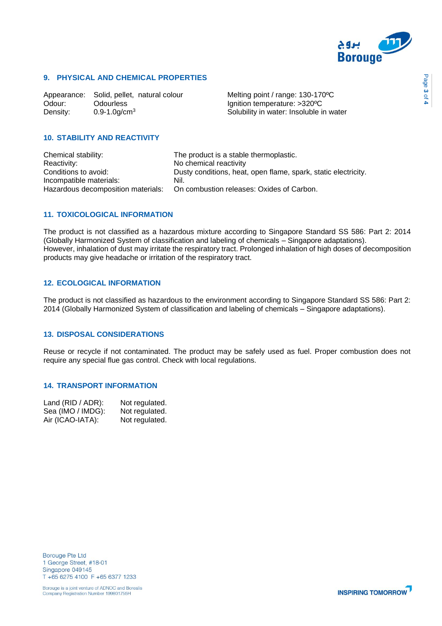

# **9. PHYSICAL AND CHEMICAL PROPERTIES**

Appearance: Solid, pellet, natural colour Melting point / range: 130-170°C<br>Odour: Odourless dolourless denition temperature: >320°C Density: 0.9-1.0g/cm<sup>3</sup> Solubility in water: Insoluble in water

Ignition temperature: >320°C

# **10. STABILITY AND REACTIVITY**

Chemical stability: The product is a stable thermoplastic. Reactivity: No chemical reactivity Conditions to avoid: Dusty conditions, heat, open flame, spark, static electricity. Incompatible materials: Nil. Hazardous decomposition materials: On combustion releases: Oxides of Carbon.

## **11. TOXICOLOGICAL INFORMATION**

The product is not classified as a hazardous mixture according to Singapore Standard SS 586: Part 2: 2014 (Globally Harmonized System of classification and labeling of chemicals – Singapore adaptations). However, inhalation of dust may irritate the respiratory tract. Prolonged inhalation of high doses of decomposition products may give headache or irritation of the respiratory tract.

# **12. ECOLOGICAL INFORMATION**

The product is not classified as hazardous to the environment according to Singapore Standard SS 586: Part 2: 2014 (Globally Harmonized System of classification and labeling of chemicals – Singapore adaptations).

## **13. DISPOSAL CONSIDERATIONS**

Reuse or recycle if not contaminated. The product may be safely used as fuel. Proper combustion does not require any special flue gas control. Check with local regulations.

# **14. TRANSPORT INFORMATION**

| Land (RID / ADR): | Not regulated. |
|-------------------|----------------|
| Sea (IMO / IMDG): | Not regulated. |
| Air (ICAO-IATA):  | Not regulated. |